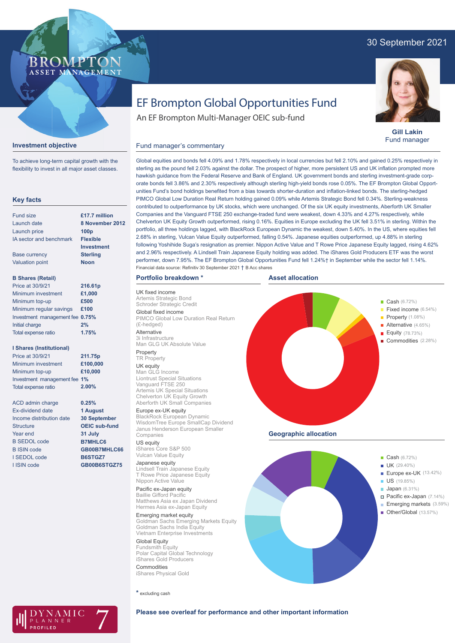## 30 September 2021



**Gill Lakin** Fund manager

Fixed income (6.54%)

Alternative (4.65%) Equity (78.73%) Commodities (2.28%)

# EF Brompton Global Opportunities Fund

An EF Brompton Multi-Manager OEIC sub-fund

## **Investment objective**

BROMP

ASSET MANAGEMENT

To achieve long-term capital growth with the flexibility to invest in all major asset classes.

## **Key facts**

| <b>Fund size</b>                | £17.7 million     |
|---------------------------------|-------------------|
| Launch date                     | 8 November:       |
| Launch price                    | 100 <sub>p</sub>  |
| <b>IA sector and benchmark</b>  | <b>Flexible</b>   |
|                                 | <b>Investment</b> |
| <b>Base currency</b>            | <b>Sterling</b>   |
| <b>Valuation point</b>          | <b>Noon</b>       |
|                                 |                   |
| <b>B Shares (Retail)</b>        |                   |
| Price at 30/9/21                | 216.61p           |
| Minimum investment              | £1,000            |
| Minimum top-up                  | £500              |
| Minimum regular savings         | £100              |
| Investment management fee 0.75% |                   |
| <b>Initial charge</b>           | 2%                |
| <b>Total expense ratio</b>      | 1.75%             |

### **I Shares (Institutional)**

| Price at 30/9/21             | 211.75p  |
|------------------------------|----------|
| Minimum investment           | £100,000 |
| Minimum top-up               | £10,000  |
| Investment management fee 1% |          |
| Total expense ratio          | 2.00%    |
|                              |          |

**0.25% 1 August 30 September OEIC sub-fund 31 July B7MHLC6 GB00B7MHLC66 B6STGZ7 GB00B6STGZ75**

ACD admin charge Ex-dividend date Income distribution date **Structure** Year end B SEDOL code B ISIN code I SEDOL code I ISIN code

Global equities and bonds fell 4.09% and 1.78% respectively in local currencies but fell 2.10% and gained 0.25% respectively in sterling as the pound fell 2.03% against the dollar. The prospect of higher, more persistent US and UK inflation prompted more hawkish guidance from the Federal Reserve and Bank of England. UK government bonds and sterling investment-grade corporate bonds fell 3.86% and 2.30% respectively although sterling high-yield bonds rose 0.05%. The EF Brompton Global Opportunities Fund's bond holdings benefited from a bias towards shorter-duration and inflation-linked bonds. The sterling-hedged PIMCO Global Low Duration Real Return holding gained 0.09% while Artemis Strategic Bond fell 0.34%. Sterling-weakness contributed to outperformance by UK stocks, which were unchanged. Of the six UK equity investments, Aberforth UK Smaller Companies and the Vanguard FTSE 250 exchange-traded fund were weakest, down 4.33% and 4.27% respectively, while Chelverton UK Equity Growth outperformed, rising 0.16%. Equities in Europe excluding the UK fell 3.51% in sterling. Within the portfolio, all three holdings lagged, with BlackRock European Dynamic the weakest, down 5.40%. In the US, where equities fell 2.68% in sterling, Vulcan Value Equity outperformed, falling 0.54%. Japanese equities outperformed, up 4.88% in sterling following Yoshihide Suga's resignation as premier. Nippon Active Value and T Rowe Price Japanese Equity lagged, rising 4.62% and 2.96% respectively. A Lindsell Train Japanese Equity holding was added. The iShares Gold Producers ETF was the worst performer, down 7.95%. The EF Brompton Global Opportunities Fund fell 1.24%† in September while the sector fell 1.14%. **8 November 2012** Financial data source: Refinitiv 30 September 2021 † B Acc shares

## **Portfolio breakdown \***

Fund manager's commentary

UK fixed income Artemis Strategic Bond Schroder Strategic Credit Global fixed income PIMCO Global Low Duration Real Return (£-hedged)

Alternative 3i Infrastructure Man GLG UK Absolute Value

#### Property **TR Property**

UK equity Man GLG Income Liontrust Special Situations Vanguard FTSE 250 Artemis UK Special Situations Chelverton UK Equity Growth Aberforth UK Small Companies

## Europe ex-UK equity

BlackRock European Dynamic WisdomTree Europe SmallCap Dividend Janus Henderson European Smaller Companies

# US equity iShares Core S&P 500

Vulcan Value Equity Japanese equity

Lindsell Train Japanese Equity T Rowe Price Japanese Equity Nippon Active Value

## Pacific ex-Japan equity

Baillie Gifford Pacific Matthews Asia ex Japan Dividend Hermes Asia ex-Japan Equity

## Emerging market equity

Goldman Sachs Emerging Markets Equity Goldman Sachs India Equity Vietnam Enterprise Investments

## Global Equity

Fundsmith Equity Polar Capital Global Technology iShares Gold Producers Commodities iShares Physical Gold

**\*** excluding cash



## **Please see overleaf for performance and other important information**



**Asset allocation**



 $\blacksquare$  Cash (6.72%)

**Property** (1.08%)